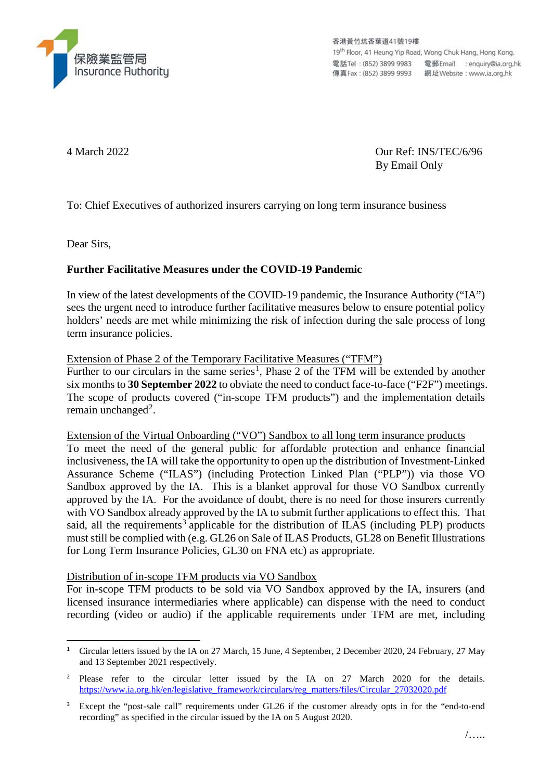

香港黃竹坑香葉道41號19樓 19th Floor, 41 Heung Yip Road, Wong Chuk Hang, Hong Kong, 

4 March 2022 Our Ref: INS/TEC/6/96 By Email Only

To: Chief Executives of authorized insurers carrying on long term insurance business

Dear Sirs,

## **Further Facilitative Measures under the COVID-19 Pandemic**

In view of the latest developments of the COVID-19 pandemic, the Insurance Authority ("IA") sees the urgent need to introduce further facilitative measures below to ensure potential policy holders' needs are met while minimizing the risk of infection during the sale process of long term insurance policies.

Extension of Phase 2 of the Temporary Facilitative Measures ("TFM")

Further to our circulars in the same series<sup>[1](#page-0-0)</sup>, Phase 2 of the TFM will be extended by another six months to **30 September 2022** to obviate the need to conduct face-to-face ("F2F") meetings. The scope of products covered ("in-scope TFM products") and the implementation details remain unchanged<sup>[2](#page-0-1)</sup>.

Extension of the Virtual Onboarding ("VO") Sandbox to all long term insurance products

To meet the need of the general public for affordable protection and enhance financial inclusiveness, the IA will take the opportunity to open up the distribution of Investment-Linked Assurance Scheme ("ILAS") (including Protection Linked Plan ("PLP")) via those VO Sandbox approved by the IA. This is a blanket approval for those VO Sandbox currently approved by the IA. For the avoidance of doubt, there is no need for those insurers currently with VO Sandbox already approved by the IA to submit further applications to effect this. That said, all the requirements<sup>[3](#page-0-2)</sup> applicable for the distribution of ILAS (including PLP) products must still be complied with (e.g. GL26 on Sale of ILAS Products, GL28 on Benefit Illustrations for Long Term Insurance Policies, GL30 on FNA etc) as appropriate.

Distribution of in-scope TFM products via VO Sandbox

For in-scope TFM products to be sold via VO Sandbox approved by the IA, insurers (and licensed insurance intermediaries where applicable) can dispense with the need to conduct recording (video or audio) if the applicable requirements under TFM are met, including

<span id="page-0-0"></span><sup>&</sup>lt;sup>1</sup> Circular letters issued by the IA on 27 March, 15 June, 4 September, 2 December 2020, 24 February, 27 May and 13 September 2021 respectively.

<span id="page-0-1"></span><sup>&</sup>lt;sup>2</sup> Please refer to the circular letter issued by the IA on 27 March 2020 for the details. [https://www.ia.org.hk/en/legislative\\_framework/circulars/reg\\_matters/files/Circular\\_27032020.pdf](https://www.ia.org.hk/en/legislative_framework/circulars/reg_matters/files/Circular_27032020.pdf)

<span id="page-0-2"></span>Except the "post-sale call" requirements under GL26 if the customer already opts in for the "end-to-end" recording" as specified in the circular issued by the IA on 5 August 2020.